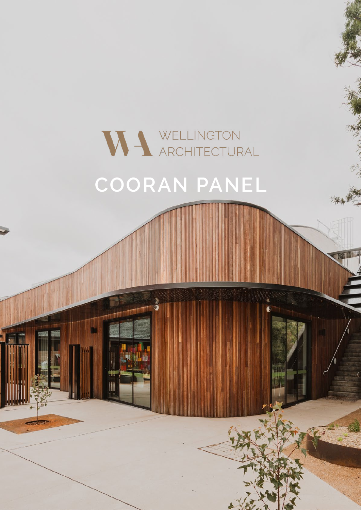## WELLINGTON ARCHITECTURAL **COORAN PANEL**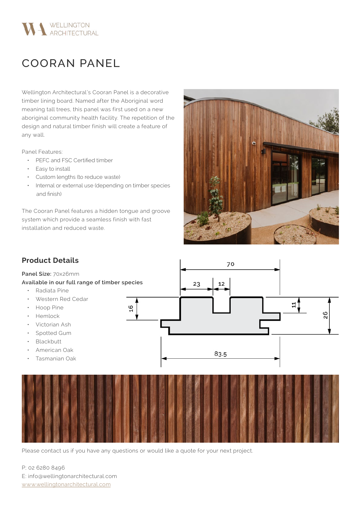

## COORAN PANEL

Wellington Architectural's Cooran Panel is a decorative timber lining board. Named after the Aboriginal word meaning tall trees, this panel was first used on a new aboriginal community health facility. The repetition of the design and natural timber finish will create a feature of any wall.

Panel Features:

- PEFC and FSC Certified timber
- Easy to install
- Custom lengths (to reduce waste)
- Internal or external use (depending on timber species and finish)

The Cooran Panel features a hidden tongue and groove system which provide a seamless finish with fast installation and reduced waste.





Please contact us if you have any questions or would like a quote for your next project.

P; 02 6280 8496 E: info@wellingtonarchitectural.com www.wellingtonarchitectural.com

## **Product Details**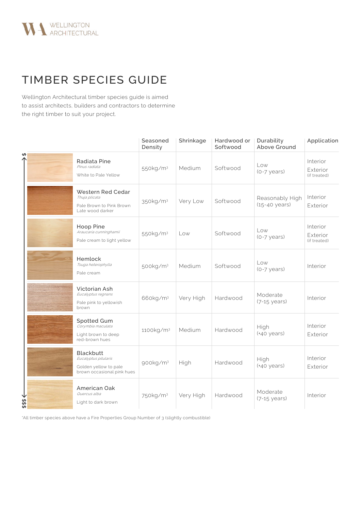

## TIMBER SPECIES GUIDE

Wellington Architectural timber species guide is aimed to assist architects, builders and contractors to determine the right timber to suit your project.

|        |                                                                                                 | Seasoned<br>Density   | Shrinkage | Hardwood or<br>Softwood | Durability<br>Above Ground         | Application                          |
|--------|-------------------------------------------------------------------------------------------------|-----------------------|-----------|-------------------------|------------------------------------|--------------------------------------|
| ₩      | Radiata Pine<br>Pinus radiata<br>White to Pale Yellow                                           | 550kg/m <sup>3</sup>  | Medium    | Softwood                | Low<br>(0-7 years)                 | Interior<br>Exterior<br>(if treated) |
|        | Western Red Cedar<br>Thuja plicata<br>Pale Brown to Pink Brown<br>Late wood darker              | 350kg/m <sup>3</sup>  | Very Low  | Softwood                | Reasonably High<br>(15-40 years)   | Interior<br>Exterior                 |
|        | Hoop Pine<br>Araucaria cunninghamii<br>Pale cream to light yellow                               | 550kg/m <sup>3</sup>  | Low       | Softwood                | Low<br>$(0-7 \text{ years})$       | Interior<br>Exterior<br>(if treated) |
|        | Hemlock<br>Tsuga heterophylla<br>Pale cream                                                     | 500kg/m <sup>3</sup>  | Medium    | Softwood                | Low<br>$(0-7 \text{ years})$       | Interior                             |
|        | Victorian Ash<br>Eucalyptus regnans<br>Pale pink to yellowish<br>brown                          | 660kg/m <sup>3</sup>  | Very High | Hardwood                | Moderate<br>$(7-15 \text{ years})$ | Interior                             |
|        | Spotted Gum<br>Corymbia maculata<br>Light brown to deep<br>red-brown hues                       | 1100kg/m <sup>3</sup> | Medium    | Hardwood                | High<br>(+40 years)                | Interior<br>Exterior                 |
|        | <b>Blackbutt</b><br>Eucalyptus pilularis<br>Golden yellow to pale<br>brown occasional pink hues | 900kg/m <sup>3</sup>  | High      | Hardwood                | High<br>(+40 years)                | Interior<br>Exterior                 |
| \$\$\$ | American Oak<br>Quercus alba<br>Light to dark brown                                             | 750kg/m <sup>3</sup>  | Very High | Hardwood                | Moderate<br>(7-15 years)           | Interior                             |

\*All timber species above have a Fire Properties Group Number of 3 (slightly combustible)